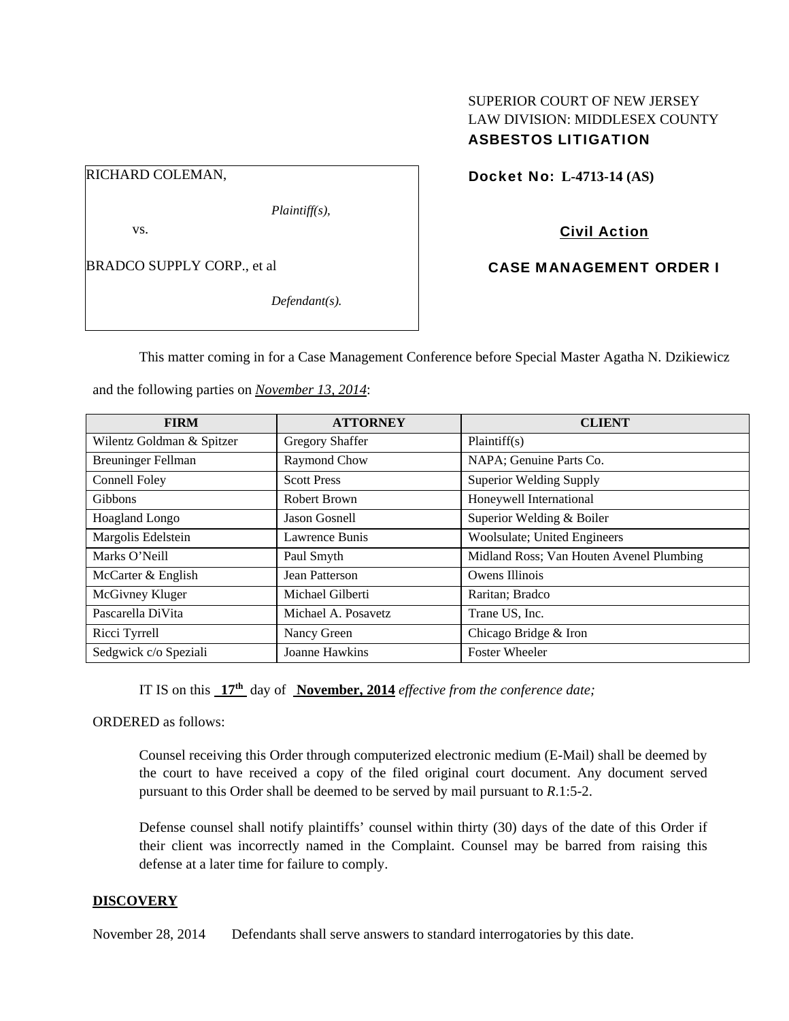# SUPERIOR COURT OF NEW JERSEY LAW DIVISION: MIDDLESEX COUNTY ASBESTOS LITIGATION

RICHARD COLEMAN,

*Plaintiff(s),* 

vs.

BRADCO SUPPLY CORP., et al

*Defendant(s).* 

Docket No: **L-4713-14 (AS)** 

Civil Action

CASE MANAGEMENT ORDER I

This matter coming in for a Case Management Conference before Special Master Agatha N. Dzikiewicz

and the following parties on *November 13, 2014*:

| <b>FIRM</b>               | <b>ATTORNEY</b>        | <b>CLIENT</b>                            |
|---------------------------|------------------------|------------------------------------------|
| Wilentz Goldman & Spitzer | <b>Gregory Shaffer</b> | Plaintiff(s)                             |
| <b>Breuninger Fellman</b> | Raymond Chow           | NAPA; Genuine Parts Co.                  |
| Connell Foley             | <b>Scott Press</b>     | <b>Superior Welding Supply</b>           |
| <b>Gibbons</b>            | Robert Brown           | Honeywell International                  |
| Hoagland Longo            | Jason Gosnell          | Superior Welding & Boiler                |
| Margolis Edelstein        | Lawrence Bunis         | Woolsulate; United Engineers             |
| Marks O'Neill             | Paul Smyth             | Midland Ross; Van Houten Avenel Plumbing |
| McCarter & English        | Jean Patterson         | Owens Illinois                           |
| McGivney Kluger           | Michael Gilberti       | Raritan; Bradco                          |
| Pascarella DiVita         | Michael A. Posavetz    | Trane US, Inc.                           |
| Ricci Tyrrell             | Nancy Green            | Chicago Bridge & Iron                    |
| Sedgwick c/o Speziali     | <b>Joanne Hawkins</b>  | <b>Foster Wheeler</b>                    |

IT IS on this **17th** day of **November, 2014** *effective from the conference date;*

ORDERED as follows:

Counsel receiving this Order through computerized electronic medium (E-Mail) shall be deemed by the court to have received a copy of the filed original court document. Any document served pursuant to this Order shall be deemed to be served by mail pursuant to *R*.1:5-2.

Defense counsel shall notify plaintiffs' counsel within thirty (30) days of the date of this Order if their client was incorrectly named in the Complaint. Counsel may be barred from raising this defense at a later time for failure to comply.

# **DISCOVERY**

November 28, 2014 Defendants shall serve answers to standard interrogatories by this date.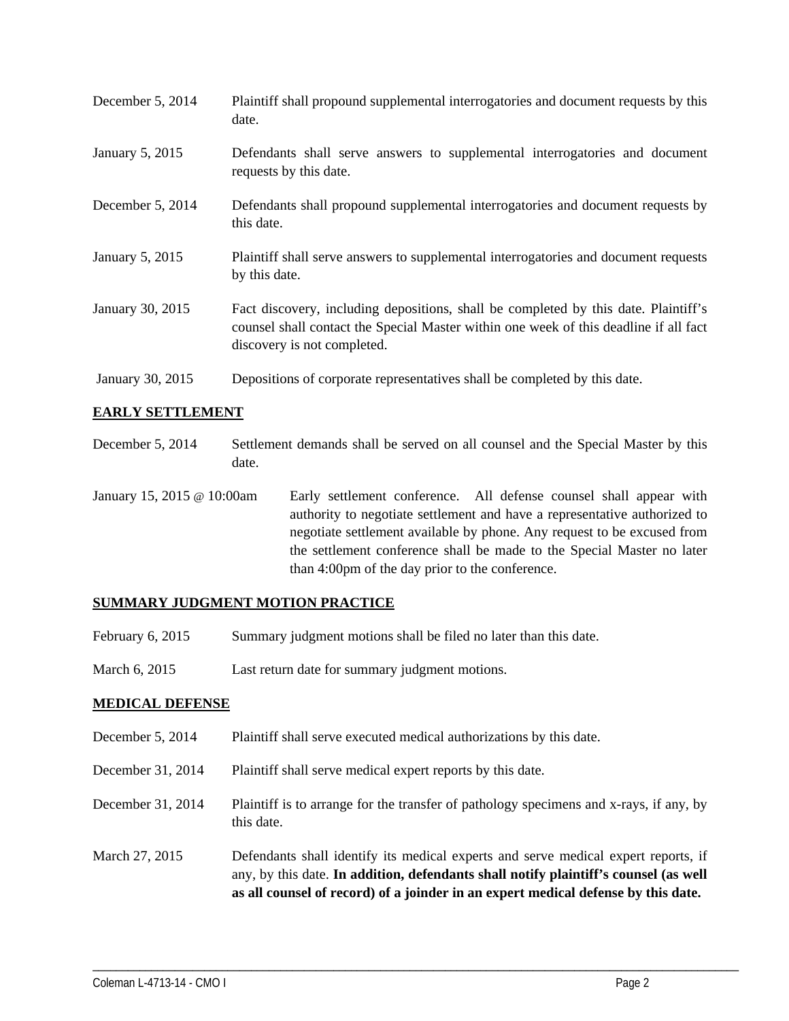| December 5, 2014 | Plaintiff shall propound supplemental interrogatories and document requests by this<br>date.                                                                                                                |
|------------------|-------------------------------------------------------------------------------------------------------------------------------------------------------------------------------------------------------------|
| January 5, 2015  | Defendants shall serve answers to supplemental interrogatories and document<br>requests by this date.                                                                                                       |
| December 5, 2014 | Defendants shall propound supplemental interrogatories and document requests by<br>this date.                                                                                                               |
| January 5, 2015  | Plaintiff shall serve answers to supplemental interrogatories and document requests<br>by this date.                                                                                                        |
| January 30, 2015 | Fact discovery, including depositions, shall be completed by this date. Plaintiff's<br>counsel shall contact the Special Master within one week of this deadline if all fact<br>discovery is not completed. |
| January 30, 2015 | Depositions of corporate representatives shall be completed by this date.                                                                                                                                   |

#### **EARLY SETTLEMENT**

- December 5, 2014 Settlement demands shall be served on all counsel and the Special Master by this date.
- January 15, 2015 @ 10:00am Early settlement conference. All defense counsel shall appear with authority to negotiate settlement and have a representative authorized to negotiate settlement available by phone. Any request to be excused from the settlement conference shall be made to the Special Master no later than 4:00pm of the day prior to the conference.

# **SUMMARY JUDGMENT MOTION PRACTICE**

- February 6, 2015 Summary judgment motions shall be filed no later than this date.
- March 6, 2015 Last return date for summary judgment motions.

# **MEDICAL DEFENSE**

- December 5, 2014 Plaintiff shall serve executed medical authorizations by this date.
- December 31, 2014 Plaintiff shall serve medical expert reports by this date.
- December 31, 2014 Plaintiff is to arrange for the transfer of pathology specimens and x-rays, if any, by this date.
- March 27, 2015 Defendants shall identify its medical experts and serve medical expert reports, if any, by this date. **In addition, defendants shall notify plaintiff's counsel (as well as all counsel of record) of a joinder in an expert medical defense by this date.**

\_\_\_\_\_\_\_\_\_\_\_\_\_\_\_\_\_\_\_\_\_\_\_\_\_\_\_\_\_\_\_\_\_\_\_\_\_\_\_\_\_\_\_\_\_\_\_\_\_\_\_\_\_\_\_\_\_\_\_\_\_\_\_\_\_\_\_\_\_\_\_\_\_\_\_\_\_\_\_\_\_\_\_\_\_\_\_\_\_\_\_\_\_\_\_\_\_\_\_\_\_\_\_\_\_\_\_\_\_\_